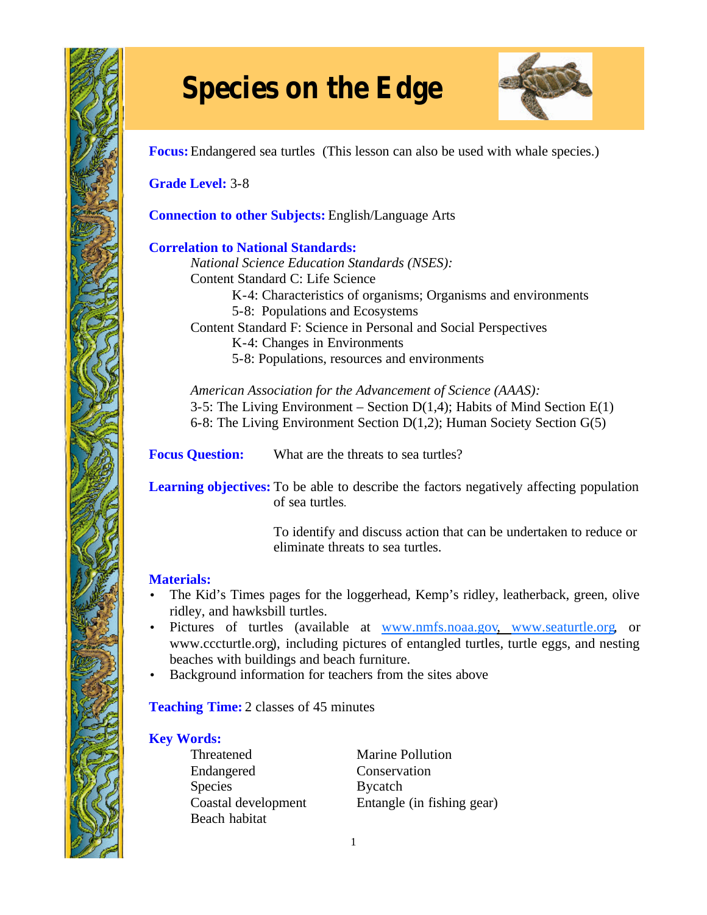

# **Species on the Edge**



**Focus:**Endangered sea turtles (This lesson can also be used with whale species.)

**Grade Level:** 3-8

**Connection to other Subjects:** English/Language Arts

## **Correlation to National Standards:**

*National Science Education Standards (NSES):* Content Standard C: Life Science

- K-4: Characteristics of organisms; Organisms and environments
- 5-8: Populations and Ecosystems

Content Standard F: Science in Personal and Social Perspectives

K-4: Changes in Environments

5-8: Populations, resources and environments

*American Association for the Advancement of Science (AAAS):* 3-5: The Living Environment – Section  $D(1,4)$ ; Habits of Mind Section  $E(1)$ 6-8: The Living Environment Section D(1,2); Human Society Section G(5)

**Focus Question:** What are the threats to sea turtles?

Learning objectives: To be able to describe the factors negatively affecting population of sea turtles.

> To identify and discuss action that can be undertaken to reduce or eliminate threats to sea turtles.

# **Materials:**

- The Kid's Times pages for the loggerhead, Kemp's ridley, leatherback, green, olive ridley, and hawksbill turtles.
- Pictures of turtles (available at www.nmfs.noaa.gov, www.seaturtle.org, or www.cccturtle.org), including pictures of entangled turtles, turtle eggs, and nesting beaches with buildings and beach furniture.
- Background information for teachers from the sites above

**Teaching Time:** 2 classes of 45 minutes

# **Key Words:**

Threatened Marine Pollution Endangered Conservation Species Bycatch Beach habitat

Coastal development Entangle (in fishing gear)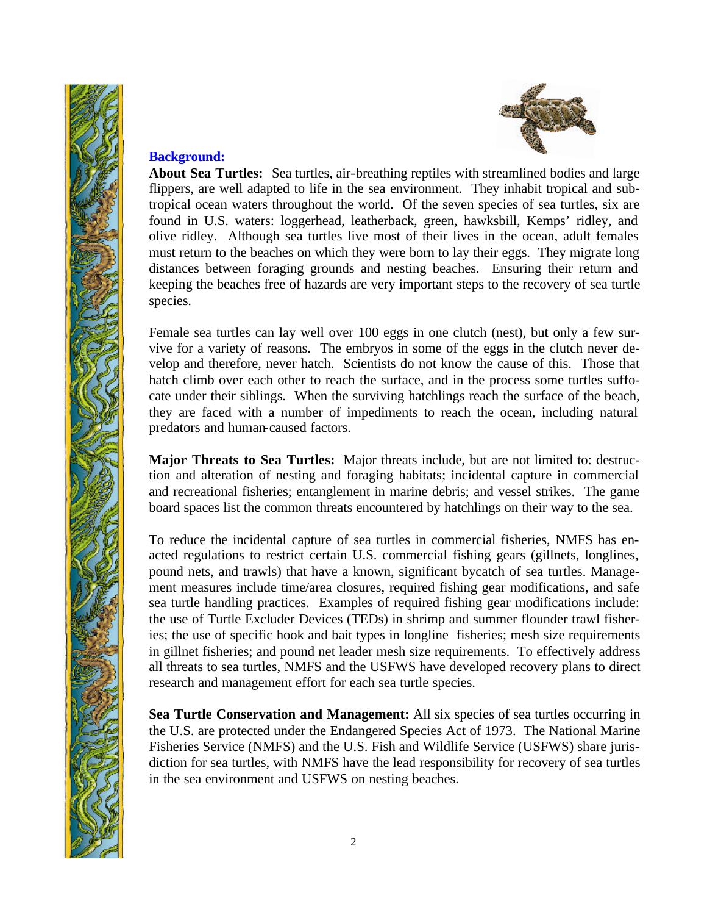



## **Background:**

**About Sea Turtles:** Sea turtles, air-breathing reptiles with streamlined bodies and large flippers, are well adapted to life in the sea environment. They inhabit tropical and subtropical ocean waters throughout the world. Of the seven species of sea turtles, six are found in U.S. waters: loggerhead, leatherback, green, hawksbill, Kemps' ridley, and olive ridley. Although sea turtles live most of their lives in the ocean, adult females must return to the beaches on which they were born to lay their eggs. They migrate long distances between foraging grounds and nesting beaches. Ensuring their return and keeping the beaches free of hazards are very important steps to the recovery of sea turtle species.

Female sea turtles can lay well over 100 eggs in one clutch (nest), but only a few survive for a variety of reasons. The embryos in some of the eggs in the clutch never develop and therefore, never hatch. Scientists do not know the cause of this. Those that hatch climb over each other to reach the surface, and in the process some turtles suffocate under their siblings. When the surviving hatchlings reach the surface of the beach, they are faced with a number of impediments to reach the ocean, including natural predators and human-caused factors.

**Major Threats to Sea Turtles:** Major threats include, but are not limited to: destruction and alteration of nesting and foraging habitats; incidental capture in commercial and recreational fisheries; entanglement in marine debris; and vessel strikes. The game board spaces list the common threats encountered by hatchlings on their way to the sea.

To reduce the incidental capture of sea turtles in commercial fisheries, NMFS has enacted regulations to restrict certain U.S. commercial fishing gears (gillnets, longlines, pound nets, and trawls) that have a known, significant bycatch of sea turtles. Management measures include time/area closures, required fishing gear modifications, and safe sea turtle handling practices. Examples of required fishing gear modifications include: the use of Turtle Excluder Devices (TEDs) in shrimp and summer flounder trawl fisheries; the use of specific hook and bait types in longline fisheries; mesh size requirements in gillnet fisheries; and pound net leader mesh size requirements. To effectively address all threats to sea turtles, NMFS and the USFWS have developed recovery plans to direct research and management effort for each sea turtle species.

**Sea Turtle Conservation and Management:** All six species of sea turtles occurring in the U.S. are protected under the Endangered Species Act of 1973. The National Marine Fisheries Service (NMFS) and the U.S. Fish and Wildlife Service (USFWS) share jurisdiction for sea turtles, with NMFS have the lead responsibility for recovery of sea turtles in the sea environment and USFWS on nesting beaches.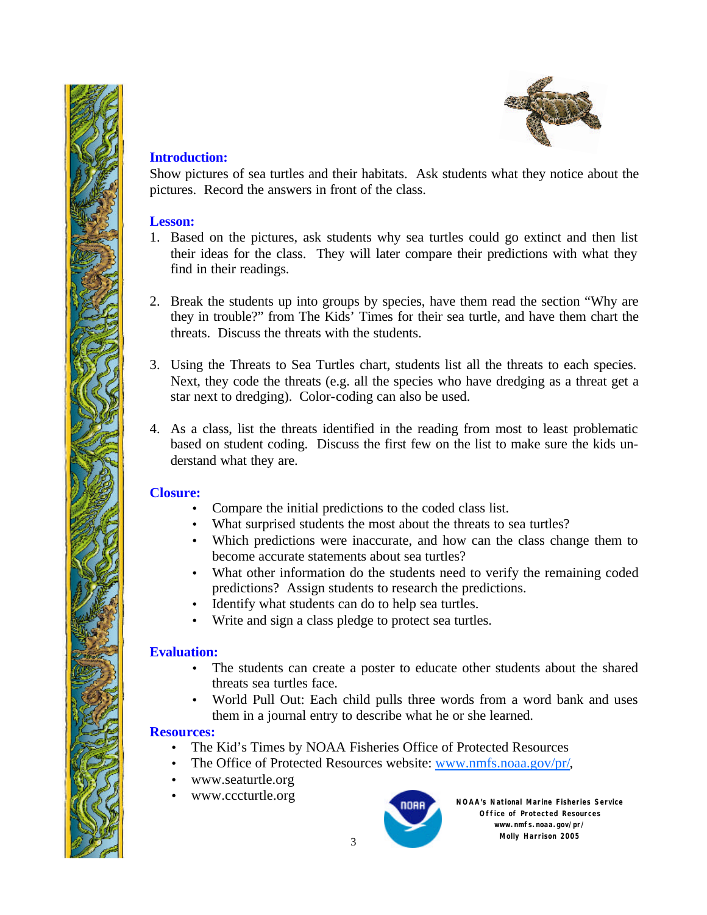



#### **Introduction:**

Show pictures of sea turtles and their habitats. Ask students what they notice about the pictures. Record the answers in front of the class.

#### **Lesson:**

- 1. Based on the pictures, ask students why sea turtles could go extinct and then list their ideas for the class. They will later compare their predictions with what they find in their readings.
- 2. Break the students up into groups by species, have them read the section "Why are they in trouble?" from The Kids' Times for their sea turtle, and have them chart the threats. Discuss the threats with the students.
- 3. Using the Threats to Sea Turtles chart, students list all the threats to each species. Next, they code the threats (e.g. all the species who have dredging as a threat get a star next to dredging). Color-coding can also be used.
- 4. As a class, list the threats identified in the reading from most to least problematic based on student coding. Discuss the first few on the list to make sure the kids understand what they are.

# **Closure:**

- Compare the initial predictions to the coded class list.
- What surprised students the most about the threats to sea turtles?
- Which predictions were inaccurate, and how can the class change them to become accurate statements about sea turtles?
- What other information do the students need to verify the remaining coded predictions? Assign students to research the predictions.
- Identify what students can do to help sea turtles.
- Write and sign a class pledge to protect sea turtles.

#### **Evaluation:**

- The students can create a poster to educate other students about the shared threats sea turtles face.
- World Pull Out: Each child pulls three words from a word bank and uses them in a journal entry to describe what he or she learned.

#### **Resources:**

- The Kid's Times by NOAA Fisheries Office of Protected Resources
- The Office of Protected Resources website: www.nmfs.noaa.gov/pr/,
- www.seaturtle.org
- www.cccturtle.org **NOAA's National Marine Fisheries Service**



**Office of Protected Resources www.nmfs.noaa.gov/pr/ Molly Harrison 2005**